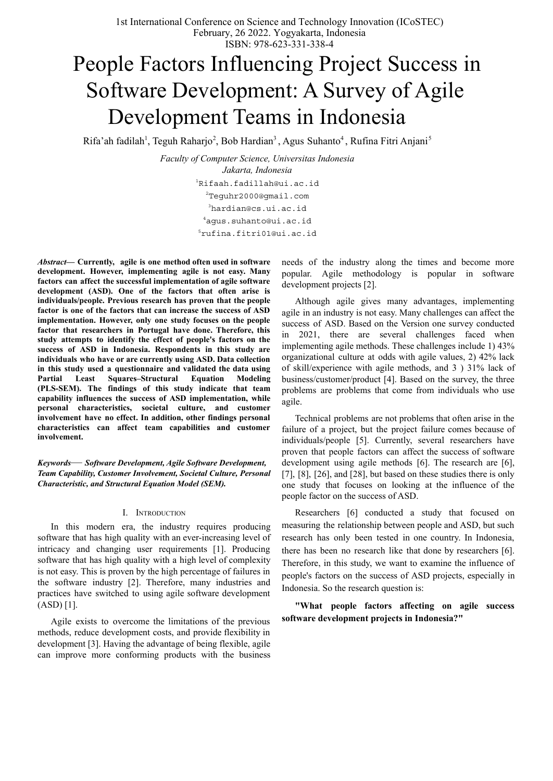# People Factors Influencing Project Success in Software Development: A Survey of Agile Development Teams in Indonesia

Rifa'ah fadilah<sup>1</sup>, Teguh Raharjo<sup>2</sup>, Bob Hardian<sup>3</sup>, Agus Suhanto<sup>4</sup>, Rufina Fitri Anjani<sup>5</sup>

*Faculty of Computer Science, Universitas Indonesia Jakarta, Indonesia* Rifaah.fadillah@ui.ac.id Teguhr2000@gmail.com hardian@cs.ui.ac.id agus.suhanto@ui.ac.id [rufina.fitri01@ui.ac.id](mailto:5rufina.fitri01@ui.ac.id)

*Abstract***— Currently, agile is one method often used in software development. However, implementing agile is not easy. Many factors can affect the successful implementation of agile software development (ASD). One of the factors that often arise is individuals/people. Previous research has proven that the people factor is one of the factors that can increase the success of ASD implementation. However, only one study focuses on the people factor that researchers in Portugal have done. Therefore, this study attempts to identify the effect of people's factors on the success of ASD in Indonesia. Respondents in this study are individuals who have or are currently using ASD. Data collection in this study used a questionnaire and validated the data using Partial Least Squares–Structural Equation Modeling (PLS-SEM). The findings of this study indicate that team capability influences the success of ASD implementation, while personal characteristics, societal culture, and customer involvement have no effect. In addition, other findings personal characteristics can affect team capabilities and customer involvement.**

*Keywords*— *Software Development, Agile Software Development, Team Capability, Customer Involvement, Societal Culture, Personal Characteristic, and Structural Equation Model (SEM).*

## I. INTRODUCTION

In this modern era, the industry requires producing software that has high quality with an ever-increasing level of intricacy and changing user requirements [1]. Producing software that has high quality with a high level of complexity is not easy. This is proven by the high percentage of failures in the software industry [2]. Therefore, many industries and practices have switched to using agile software development  $(ASD) [1]$ .

Agile exists to overcome the limitations of the previous methods, reduce development costs, and provide flexibility in development [3]. Having the advantage of being flexible, agile can improve more conforming products with the business needs of the industry along the times and become more popular. Agile methodology is popular in software development projects [2].

Although agile gives many advantages, implementing agile in an industry is not easy. Many challenges can affect the success of ASD. Based on the Version one survey conducted in 2021, there are several challenges faced when implementing agile methods. These challenges include 1) 43% organizational culture at odds with agile values, 2) 42% lack of skill/experience with agile methods, and 3 ) 31% lack of business/customer/product [4]. Based on the survey, the three problems are problems that come from individuals who use agile.

Technical problems are not problems that often arise in the failure of a project, but the project failure comes because of individuals/people [5]. Currently, several researchers have proven that people factors can affect the success of software development using agile methods [6]. The research are [6], [7], [8], [26], and [28], but based on these studies there is only one study that focuses on looking at the influence of the people factor on the success of ASD.

Researchers [6] conducted a study that focused on measuring the relationship between people and ASD, but such research has only been tested in one country. In Indonesia, there has been no research like that done by researchers [6]. Therefore, in this study, we want to examine the influence of people's factors on the success of ASD projects, especially in Indonesia. So the research question is:

**"What people factors affecting on agile success software development projects in Indonesia?"**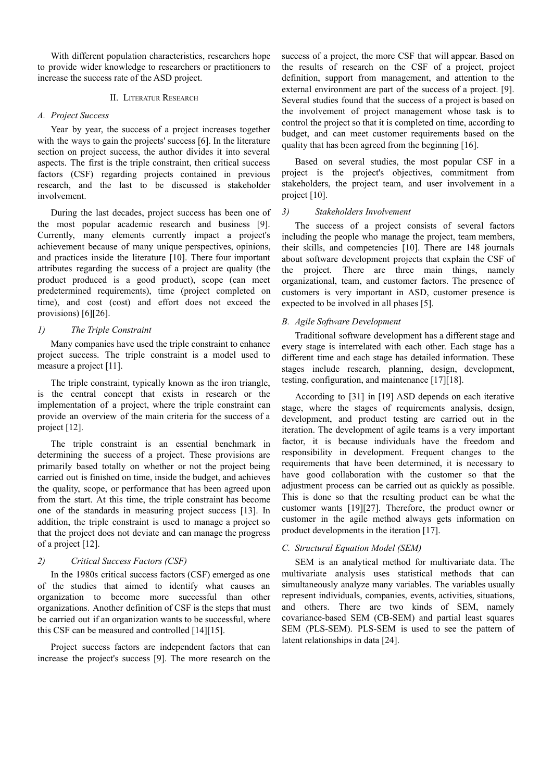With different population characteristics, researchers hope to provide wider knowledge to researchers or practitioners to increase the success rate of the ASD project.

## II. LITERATUR RESEARCH

## *A. Project Success*

Year by year, the success of a project increases together with the ways to gain the projects' success [6]. In the literature section on project success, the author divides it into several aspects. The first is the triple constraint, then critical success factors (CSF) regarding projects contained in previous research, and the last to be discussed is stakeholder involvement.

During the last decades, project success has been one of the most popular academic research and business [9]. Currently, many elements currently impact a project's achievement because of many unique perspectives, opinions, and practices inside the literature [10]. There four important attributes regarding the success of a project are quality (the product produced is a good product), scope (can meet predetermined requirements), time (project completed on time), and cost (cost) and effort does not exceed the provisions) [6][26].

## *1) The Triple Constraint*

Many companies have used the triple constraint to enhance project success. The triple constraint is a model used to measure a project [11].

The triple constraint, typically known as the iron triangle, is the central concept that exists in research or the implementation of a project, where the triple constraint can provide an overview of the main criteria for the success of a project [12].

The triple constraint is an essential benchmark in determining the success of a project. These provisions are primarily based totally on whether or not the project being carried out is finished on time, inside the budget, and achieves the quality, scope, or performance that has been agreed upon from the start. At this time, the triple constraint has become one of the standards in measuring project success [13]. In addition, the triple constraint is used to manage a project so that the project does not deviate and can manage the progress of a project [12].

# *2) Critical Success Factors (CSF)*

In the 1980s critical success factors (CSF) emerged as one of the studies that aimed to identify what causes an organization to become more successful than other organizations. Another definition of CSF is the steps that must be carried out if an organization wants to be successful, where this CSF can be measured and controlled [14][15].

Project success factors are independent factors that can increase the project's success [9]. The more research on the

success of a project, the more CSF that will appear. Based on the results of research on the CSF of a project, project definition, support from management, and attention to the external environment are part of the success of a project. [9]. Several studies found that the success of a project is based on the involvement of project management whose task is to control the project so that it is completed on time, according to budget, and can meet customer requirements based on the quality that has been agreed from the beginning [16].

Based on several studies, the most popular CSF in a project is the project's objectives, commitment from stakeholders, the project team, and user involvement in a project [10].

## *3) Stakeholders Involvement*

The success of a project consists of several factors including the people who manage the project, team members, their skills, and competencies [10]. There are 148 journals about software development projects that explain the CSF of the project. There are three main things, namely organizational, team, and customer factors. The presence of customers is very important in ASD, customer presence is expected to be involved in all phases [5].

## *B. Agile Software Development*

Traditional software development has a different stage and every stage is interrelated with each other. Each stage has a different time and each stage has detailed information. These stages include research, planning, design, development, testing, configuration, and maintenance [17][18].

According to [31] in [19] ASD depends on each iterative stage, where the stages of requirements analysis, design, development, and product testing are carried out in the iteration. The development of agile teams is a very important factor, it is because individuals have the freedom and responsibility in development. Frequent changes to the requirements that have been determined, it is necessary to have good collaboration with the customer so that the adjustment process can be carried out as quickly as possible. This is done so that the resulting product can be what the customer wants [19][27]. Therefore, the product owner or customer in the agile method always gets information on product developments in the iteration [17].

# *C. Structural Equation Model (SEM)*

SEM is an analytical method for multivariate data. The multivariate analysis uses statistical methods that can simultaneously analyze many variables. The variables usually represent individuals, companies, events, activities, situations, and others. There are two kinds of SEM, namely covariance-based SEM (CB-SEM) and partial least squares SEM (PLS-SEM). PLS-SEM is used to see the pattern of latent relationships in data [24].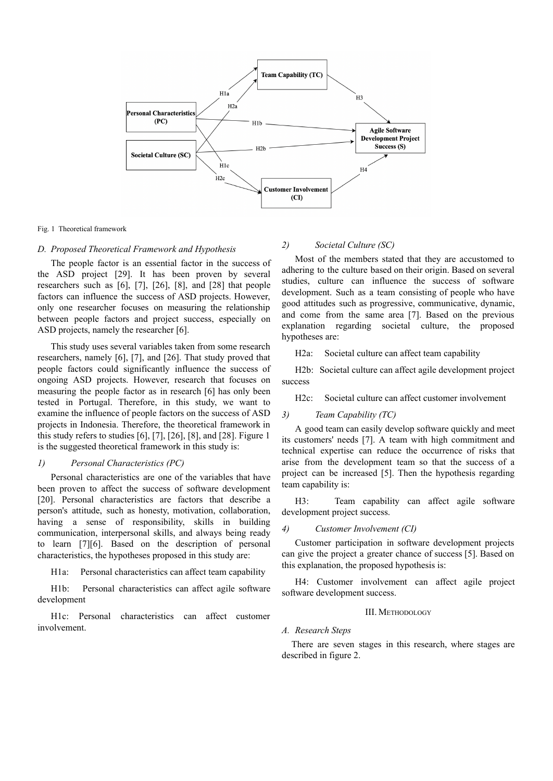

## Fig. 1 Theoretical framework

## *D. Proposed Theoretical Framework and Hypothesis*

The people factor is an essential factor in the success of the ASD project [29]. It has been proven by several researchers such as [6], [7], [26], [8], and [28] that people factors can influence the success of ASD projects. However, only one researcher focuses on measuring the relationship between people factors and project success, especially on ASD projects, namely the researcher [6].

This study uses several variables taken from some research researchers, namely [6], [7], and [26]. That study proved that people factors could significantly influence the success of ongoing ASD projects. However, research that focuses on measuring the people factor as in research [6] has only been tested in Portugal. Therefore, in this study, we want to examine the influence of people factors on the success of ASD projects in Indonesia. Therefore, the theoretical framework in this study refers to studies [6], [7], [26], [8], and [28]. Figure 1 is the suggested theoretical framework in this study is:

#### *1) Personal Characteristics (PC)*

Personal characteristics are one of the variables that have been proven to affect the success of software development [20]. Personal characteristics are factors that describe a person's attitude, such as honesty, motivation, collaboration, having a sense of responsibility, skills in building communication, interpersonal skills, and always being ready to learn [7][6]. Based on the description of personal characteristics, the hypotheses proposed in this study are:

H1a: Personal characteristics can affect team capability

H1b: Personal characteristics can affect agile software development

H1c: Personal characteristics can affect customer involvement.

## *2) Societal Culture (SC)*

Most of the members stated that they are accustomed to adhering to the culture based on their origin. Based on several studies, culture can influence the success of software development. Such as a team consisting of people who have good attitudes such as progressive, communicative, dynamic, and come from the same area [7]. Based on the previous explanation regarding societal culture, the proposed hypotheses are:

H2a: Societal culture can affect team capability

H2b: Societal culture can affect agile development project success

H2c: Societal culture can affect customer involvement

## *3) Team Capability (TC)*

A good team can easily develop software quickly and meet its customers' needs [7]. A team with high commitment and technical expertise can reduce the occurrence of risks that arise from the development team so that the success of a project can be increased [5]. Then the hypothesis regarding team capability is:

H3: Team capability can affect agile software development project success.

#### *4) Customer Involvement (CI)*

Customer participation in software development projects can give the project a greater chance of success [5]. Based on this explanation, the proposed hypothesis is:

H4: Customer involvement can affect agile project software development success.

#### III. METHODOLOGY

#### *A. Research Steps*

There are seven stages in this research, where stages are described in figure 2.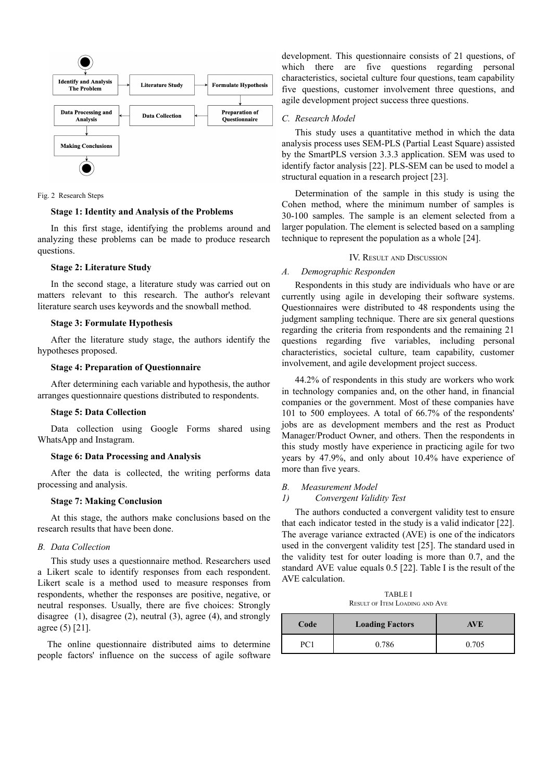

Fig. 2 Research Steps

### **Stage 1: Identity and Analysis of the Problems**

In this first stage, identifying the problems around and analyzing these problems can be made to produce research questions.

### **Stage 2: Literature Study**

In the second stage, a literature study was carried out on matters relevant to this research. The author's relevant literature search uses keywords and the snowball method.

## **Stage 3: Formulate Hypothesis**

After the literature study stage, the authors identify the hypotheses proposed.

#### **Stage 4: Preparation of Questionnaire**

After determining each variable and hypothesis, the author arranges questionnaire questions distributed to respondents.

#### **Stage 5: Data Collection**

Data collection using Google Forms shared using WhatsApp and Instagram.

### **Stage 6: Data Processing and Analysis**

After the data is collected, the writing performs data processing and analysis.

#### **Stage 7: Making Conclusion**

At this stage, the authors make conclusions based on the research results that have been done.

## *B. Data Collection*

This study uses a questionnaire method. Researchers used a Likert scale to identify responses from each respondent. Likert scale is a method used to measure responses from respondents, whether the responses are positive, negative, or neutral responses. Usually, there are five choices: Strongly disagree (1), disagree (2), neutral (3), agree (4), and strongly agree (5) [21].

The online questionnaire distributed aims to determine people factors' influence on the success of agile software development. This questionnaire consists of 21 questions, of which there are five questions regarding personal characteristics, societal culture four questions, team capability five questions, customer involvement three questions, and agile development project success three questions.

## *C. Research Model*

This study uses a quantitative method in which the data analysis process uses SEM-PLS (Partial Least Square) assisted by the SmartPLS version 3.3.3 application. SEM was used to identify factor analysis [22]. PLS-SEM can be used to model a structural equation in a research project [23].

Determination of the sample in this study is using the Cohen method, where the minimum number of samples is 30-100 samples. The sample is an element selected from a larger population. The element is selected based on a sampling technique to represent the population as a whole [24].

## IV. RESULT AND DISCUSSION

## *A. Demographic Responden*

Respondents in this study are individuals who have or are currently using agile in developing their software systems. Questionnaires were distributed to 48 respondents using the judgment sampling technique. There are six general questions regarding the criteria from respondents and the remaining 21 questions regarding five variables, including personal characteristics, societal culture, team capability, customer involvement, and agile development project success.

44.2% of respondents in this study are workers who work in technology companies and, on the other hand, in financial companies or the government. Most of these companies have 101 to 500 employees. A total of 66.7% of the respondents' jobs are as development members and the rest as Product Manager/Product Owner, and others. Then the respondents in this study mostly have experience in practicing agile for two years by 47.9%, and only about 10.4% have experience of more than five years.

#### *B. Measurement Model*

#### *1) Convergent Validity Test*

The authors conducted a convergent validity test to ensure that each indicator tested in the study is a valid indicator [22]. The average variance extracted (AVE) is one of the indicators used in the convergent validity test [25]. The standard used in the validity test for outer loading is more than 0.7, and the standard AVE value equals 0.5 [22]. Table I is the result of the AVE calculation.

TABLE I RESULT OF ITEM LOADING AND AVE

| Code | <b>Loading Factors</b> | <b>AVE</b> |
|------|------------------------|------------|
| nΩ   | 0.786                  | 0.705      |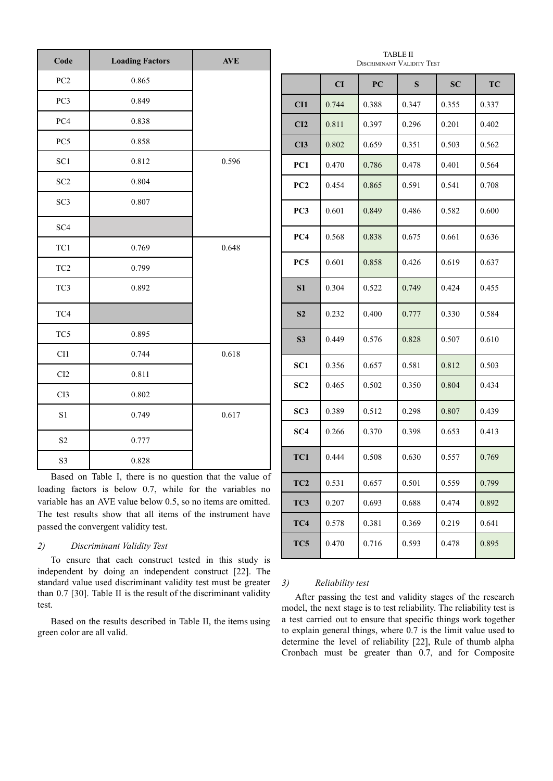| Code            | <b>Loading Factors</b> | <b>AVE</b> |
|-----------------|------------------------|------------|
| PC <sub>2</sub> | 0.865                  |            |
| PC3             | 0.849                  |            |
| PC4             | 0.838                  |            |
| PC5             | 0.858                  |            |
| SC <sub>1</sub> | 0.812                  | 0.596      |
| SC <sub>2</sub> | 0.804                  |            |
| SC <sub>3</sub> | 0.807                  |            |
| SC <sub>4</sub> |                        |            |
| TC1             | 0.769                  | 0.648      |
| TC <sub>2</sub> | 0.799                  |            |
| TC3             | 0.892                  |            |
| TC4             |                        |            |
| TC5             | 0.895                  |            |
| CI1             | 0.744                  | 0.618      |
| CI <sub>2</sub> | 0.811                  |            |
| CI3             | 0.802                  |            |
| S <sub>1</sub>  | 0.749                  | 0.617      |
| S <sub>2</sub>  | 0.777                  |            |
| S3              | 0.828                  |            |

Based on Table I, there is no question that the value of loading factors is below 0.7, while for the variables no variable has an AVE value below 0.5, so no items are omitted. The test results show that all items of the instrument have passed the convergent validity test.

## *2) Discriminant Validity Test*

To ensure that each construct tested in this study is independent by doing an independent construct [22]. The standard value used discriminant validity test must be greater than 0.7 [30]. Table II is the result of the discriminant validity test.

Based on the results described in Table II, the items using green color are all valid.

|                            | <b>TABLE II</b> |  |
|----------------------------|-----------------|--|
| DISCRIMINANT VALIDITY TEST |                 |  |

|                 | CI    | PC    | S     | <b>SC</b> | TC    |
|-----------------|-------|-------|-------|-----------|-------|
| CI1             | 0.744 | 0.388 | 0.347 | 0.355     | 0.337 |
| CI2             | 0.811 | 0.397 | 0.296 | 0.201     | 0.402 |
| CI3             | 0.802 | 0.659 | 0.351 | 0.503     | 0.562 |
| PC1             | 0.470 | 0.786 | 0.478 | 0.401     | 0.564 |
| PC <sub>2</sub> | 0.454 | 0.865 | 0.591 | 0.541     | 0.708 |
| PC3             | 0.601 | 0.849 | 0.486 | 0.582     | 0.600 |
| PC4             | 0.568 | 0.838 | 0.675 | 0.661     | 0.636 |
| PC5             | 0.601 | 0.858 | 0.426 | 0.619     | 0.637 |
| S <sub>1</sub>  | 0.304 | 0.522 | 0.749 | 0.424     | 0.455 |
| S <sub>2</sub>  | 0.232 | 0.400 | 0.777 | 0.330     | 0.584 |
| S <sub>3</sub>  | 0.449 | 0.576 | 0.828 | 0.507     | 0.610 |
| SC <sub>1</sub> | 0.356 | 0.657 | 0.581 | 0.812     | 0.503 |
| SC <sub>2</sub> | 0.465 | 0.502 | 0.350 | 0.804     | 0.434 |
| SC3             | 0.389 | 0.512 | 0.298 | 0.807     | 0.439 |
| SC4             | 0.266 | 0.370 | 0.398 | 0.653     | 0.413 |
| TC1             | 0.444 | 0.508 | 0.630 | 0.557     | 0.769 |
| TC2             | 0.531 | 0.657 | 0.501 | 0.559     | 0.799 |
| TC3             | 0.207 | 0.693 | 0.688 | 0.474     | 0.892 |
| TC4             | 0.578 | 0.381 | 0.369 | 0.219     | 0.641 |
| TC5             | 0.470 | 0.716 | 0.593 | 0.478     | 0.895 |

# *3) Reliability test*

After passing the test and validity stages of the research model, the next stage is to test reliability. The reliability test is a test carried out to ensure that specific things work together to explain general things, where 0.7 is the limit value used to determine the level of reliability [22], Rule of thumb alpha Cronbach must be greater than 0.7, and for Composite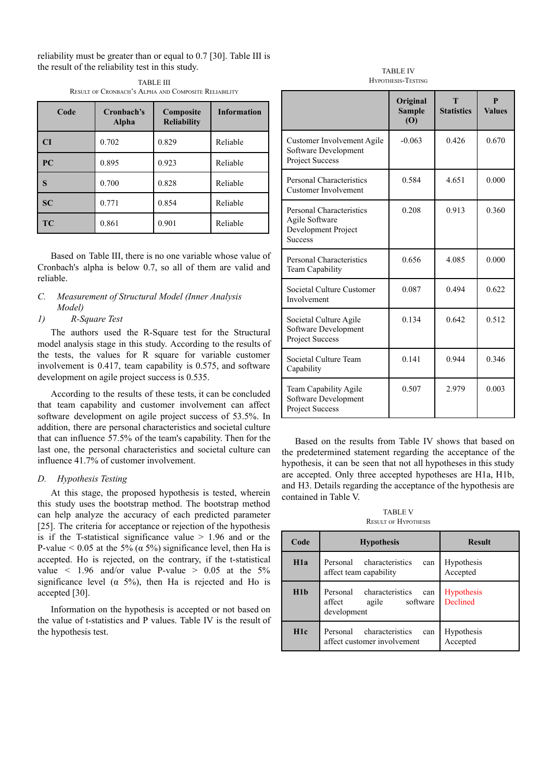reliability must be greater than or equal to 0.7 [30]. Table III is the result of the reliability test in this study.

| Code      | Cronbach's<br>Alpha | Composite<br><b>Reliability</b> | <b>Information</b> |
|-----------|---------------------|---------------------------------|--------------------|
| CI        | 0.702               | 0.829                           | Reliable           |
| PC        | 0.895               | 0.923                           | Reliable           |
| S         | 0.700               | 0.828                           | Reliable           |
| SC        | 0.771               | 0.854                           | Reliable           |
| <b>TC</b> | 0.861               | 0.901                           | Reliable           |

TABLE III RESULT OF CRONBACH'S ALPHA AND COMPOSITE RELIABILITY

Based on Table III, there is no one variable whose value of Cronbach's alpha is below 0.7, so all of them are valid and reliable.

# *C. Measurement of Structural Model (Inner Analysis Model)*

# *1) R-Square Test*

The authors used the R-Square test for the Structural model analysis stage in this study. According to the results of the tests, the values for R square for variable customer involvement is 0.417, team capability is 0.575, and software development on agile project success is 0.535.

According to the results of these tests, it can be concluded that team capability and customer involvement can affect software development on agile project success of 53.5%. In addition, there are personal characteristics and societal culture that can influence 57.5% of the team's capability. Then for the last one, the personal characteristics and societal culture can influence 41.7% of customer involvement.

#### *D. Hypothesis Testing*

At this stage, the proposed hypothesis is tested, wherein this study uses the bootstrap method. The bootstrap method can help analyze the accuracy of each predicted parameter [25]. The criteria for acceptance or rejection of the hypothesis is if the T-statistical significance value  $> 1.96$  and or the P-value  $\leq 0.05$  at the 5% ( $\alpha$  5%) significance level, then Ha is accepted. Ho is rejected, on the contrary, if the t-statistical value  $\lt$  1.96 and/or value P-value  $> 0.05$  at the 5% significance level ( $\alpha$  5%), then Ha is rejected and Ho is accepted [30].

Information on the hypothesis is accepted or not based on the value of t-statistics and P values. Table IV is the result of the hypothesis test.

TABLE IV HYPOTHESIS-TESTING

|                                                                                            | Original<br><b>Sample</b><br>(O) | <b>Statistics</b> | р<br><b>Values</b> |
|--------------------------------------------------------------------------------------------|----------------------------------|-------------------|--------------------|
| Customer Involvement Agile<br>Software Development<br>Project Success                      | $-0.063$                         | 0.426             | 0.670              |
| <b>Personal Characteristics</b><br>Customer Involvement                                    | 0.584                            | 4.651             | 0.000              |
| <b>Personal Characteristics</b><br>Agile Software<br>Development Project<br><b>Success</b> | 0.208                            | 0.913             | 0.360              |
| <b>Personal Characteristics</b><br><b>Team Capability</b>                                  | 0.656                            | 4.085             | 0.000              |
| Societal Culture Customer<br>Involvement                                                   | 0.087                            | 0.494             | 0.622              |
| Societal Culture Agile<br>Software Development<br>Project Success                          | 0.134                            | 0.642             | 0.512              |
| Societal Culture Team<br>Capability                                                        | 0.141                            | 0.944             | 0.346              |
| Team Capability Agile<br>Software Development<br><b>Project Success</b>                    | 0.507                            | 2.979             | 0.003              |

Based on the results from Table IV shows that based on the predetermined statement regarding the acceptance of the hypothesis, it can be seen that not all hypotheses in this study are accepted. Only three accepted hypotheses are H1a, H1b, and H3. Details regarding the acceptance of the hypothesis are contained in Table V.

TARI F V RESULT OF HYPOTHESIS

| Code             | <b>Hypothesis</b>                                                                | <b>Result</b>          |
|------------------|----------------------------------------------------------------------------------|------------------------|
| H1a              | Personal characteristics<br>can<br>affect team capability                        | Hypothesis<br>Accepted |
| H1b              | characteristics<br>Personal<br>can<br>affect<br>software<br>agile<br>development | Hypothesis<br>Declined |
| H <sub>1</sub> c | characteristics<br>Personal<br>can<br>affect customer involvement                | Hypothesis<br>Accepted |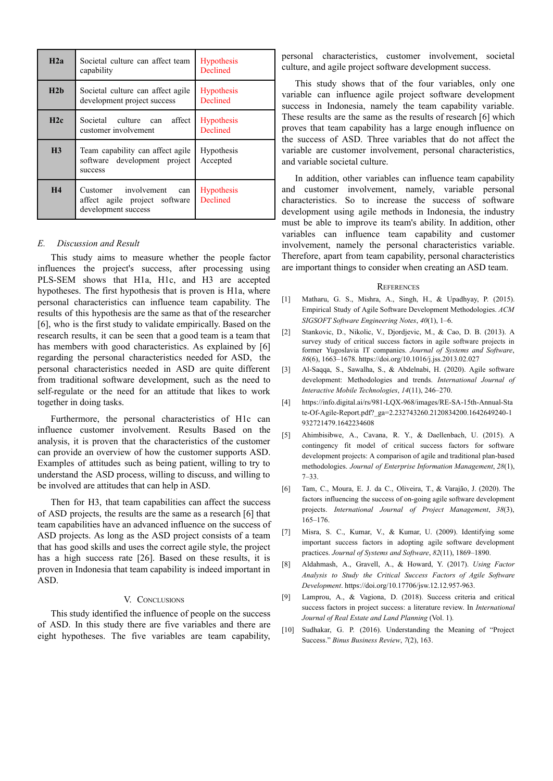| H2a            | Societal culture can affect team<br>capability                                      | <b>Hypothesis</b><br>Declined        |
|----------------|-------------------------------------------------------------------------------------|--------------------------------------|
| H2h            | Societal culture can affect agile<br>development project success                    | <b>Hypothesis</b><br>Declined        |
| H2c            | Societal culture can<br>affect<br>customer involvement                              | <b>Hypothesis</b><br>Declined        |
| H <sub>3</sub> | Team capability can affect agile<br>software development project<br>success         | Hypothesis<br>Accepted               |
| H <sub>4</sub> | Customer involvement<br>can<br>affect agile project software<br>development success | <b>Hypothesis</b><br><b>Declined</b> |

## *E. Discussion and Result*

This study aims to measure whether the people factor influences the project's success, after processing using PLS-SEM shows that H1a, H1c, and H3 are accepted hypotheses. The first hypothesis that is proven is H1a, where personal characteristics can influence team capability. The results of this hypothesis are the same as that of the researcher [6], who is the first study to validate empirically. Based on the research results, it can be seen that a good team is a team that has members with good characteristics. As explained by [6] regarding the personal characteristics needed for ASD, the personal characteristics needed in ASD are quite different from traditional software development, such as the need to self-regulate or the need for an attitude that likes to work together in doing tasks.

Furthermore, the personal characteristics of H1c can influence customer involvement. Results Based on the analysis, it is proven that the characteristics of the customer can provide an overview of how the customer supports ASD. Examples of attitudes such as being patient, willing to try to understand the ASD process, willing to discuss, and willing to be involved are attitudes that can help in ASD.

Then for H3, that team capabilities can affect the success of ASD projects, the results are the same as a research [6] that team capabilities have an advanced influence on the success of ASD projects. As long as the ASD project consists of a team that has good skills and uses the correct agile style, the project has a high success rate [26]. Based on these results, it is proven in Indonesia that team capability is indeed important in ASD.

## V. CONCLUSIONS

This study identified the influence of people on the success of ASD. In this study there are five variables and there are eight hypotheses. The five variables are team capability,

personal characteristics, customer involvement, societal culture, and agile project software development success.

This study shows that of the four variables, only one variable can influence agile project software development success in Indonesia, namely the team capability variable. These results are the same as the results of research [6] which proves that team capability has a large enough influence on the success of ASD. Three variables that do not affect the variable are customer involvement, personal characteristics, and variable societal culture.

In addition, other variables can influence team capability and customer involvement, namely, variable personal characteristics. So to increase the success of software development using agile methods in Indonesia, the industry must be able to improve its team's ability. In addition, other variables can influence team capability and customer involvement, namely the personal characteristics variable. Therefore, apart from team capability, personal characteristics are important things to consider when creating an ASD team.

#### **REFERENCES**

- [1] Matharu, G. S., Mishra, A., Singh, H., & Upadhyay, P. (2015). Empirical Study of Agile Software Development Methodologies. *ACM SIGSOFT Software Engineering Notes*, *40*(1), 1–6.
- [2] Stankovic, D., Nikolic, V., Djordjevic, M., & Cao, D. B. (2013). A survey study of critical success factors in agile software projects in former Yugoslavia IT companies. *Journal of Systems and Software*, *86*(6), 1663–1678. https://doi.org/10.1016/j.jss.2013.02.027
- [3] Al-Saqqa, S., Sawalha, S., & Abdelnabi, H. (2020). Agile software development: Methodologies and trends. *International Journal of Interactive Mobile Technologies*, *14*(11), 246–270.
- [4] [https://info.digital.ai/rs/981-LQX-968/images/RE-SA-15th-Annual-Sta](https://info.digital.ai/rs/981-LQX-968/images/RE-SA-15th-Annual-State-Of-Agile-Report.pdf?_ga=2.232743260.2120834200.1642649) [te-Of-Agile-Report.pdf?\\_ga=2.232743260.2120834200.1642649](https://info.digital.ai/rs/981-LQX-968/images/RE-SA-15th-Annual-State-Of-Agile-Report.pdf?_ga=2.232743260.2120834200.1642649)240-1 932721479.1642234608
- [5] Ahimbisibwe, A., Cavana, R. Y., & Daellenbach, U. (2015). A contingency fit model of critical success factors for software development projects: A comparison of agile and traditional plan-based methodologies. *Journal of Enterprise Information Management*, *28*(1), 7–33.
- [6] Tam, C., Moura, E. J. da C., Oliveira, T., & Varajão, J. (2020). The factors influencing the success of on-going agile software development projects. *International Journal of Project Management*, *38*(3), 165–176.
- [7] Misra, S. C., Kumar, V., & Kumar, U. (2009). Identifying some important success factors in adopting agile software development practices. *Journal of Systems and Software*, *82*(11), 1869–1890.
- [8] Aldahmash, A., Gravell, A., & Howard, Y. (2017). *Using Factor Analysis to Study the Critical Success Factors of Agile Software Development*. https://doi.org/10.17706/jsw.12.12.957-963.
- [9] Lamprou, A., & Vagiona, D. (2018). Success criteria and critical success factors in project success: a literature review. In *International Journal of Real Estate and Land Planning* (Vol. 1).
- [10] Sudhakar, G. P. (2016). Understanding the Meaning of "Project" Success." *Binus Business Review*, *7*(2), 163.